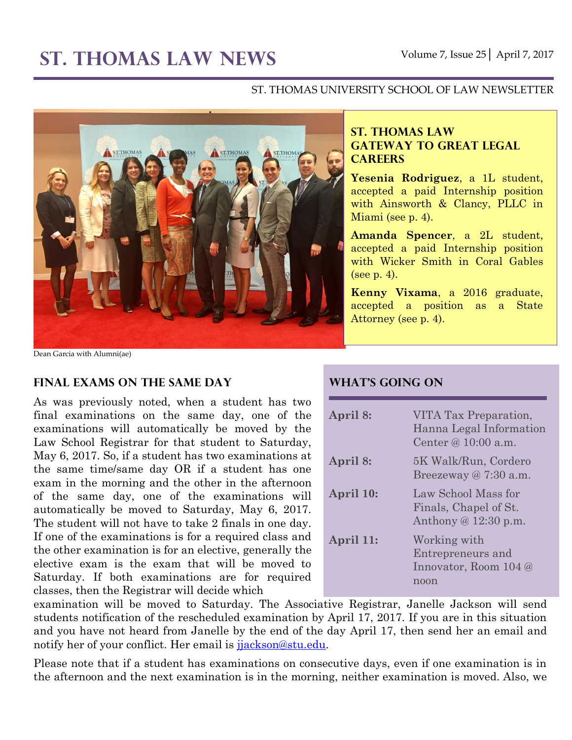# **ST. THOMAS LAW NEWS** Volume 7, Issue 25│ April 7, 2017

#### ST. THOMAS UNIVERSITY SCHOOL OF LAW NEWSLETTER



Dean Garcia with Alumni(ae)

#### **Final Exams on the Same Day**

As was previously noted, when a student has two final examinations on the same day, one of the examinations will automatically be moved by the Law School Registrar for that student to Saturday, May 6, 2017. So, if a student has two examinations at the same time/same day OR if a student has one exam in the morning and the other in the afternoon of the same day, one of the examinations will automatically be moved to Saturday, May 6, 2017. The student will not have to take 2 finals in one day. If one of the examinations is for a required class and the other examination is for an elective, generally the elective exam is the exam that will be moved to Saturday. If both examinations are for required classes, then the Registrar will decide which

#### **ST. THOMAS LAW GATEWAY TO GREAT LEGAL CAREERS**

**Yesenia Rodriguez**, a 1L student, accepted a paid Internship position with Ainsworth & Clancy, PLLC in Miami (see p. 4).

**Amanda Spencer**, a 2L student, accepted a paid Internship position with Wicker Smith in Coral Gables (see p. 4).

**Kenny Vixama**, a 2016 graduate, accepted a position as a State Attorney (see p. 4).

#### **What's Going On**

| April 8:  | VITA Tax Preparation,<br>Hanna Legal Information<br>Center @ 10:00 a.m. |
|-----------|-------------------------------------------------------------------------|
| April 8:  | 5K Walk/Run, Cordero<br>Breezeway $@7:30$ a.m.                          |
| April 10: | Law School Mass for<br>Finals, Chapel of St.<br>Anthony $@12:30$ p.m.   |
| April 11: | Working with<br>Entrepreneurs and<br>Innovator, Room 104 @<br>noon      |

examination will be moved to Saturday. The Associative Registrar, Janelle Jackson will send students notification of the rescheduled examination by April 17, 2017. If you are in this situation and you have not heard from Janelle by the end of the day April 17, then send her an email and notify her of your conflict. Her email is jackson@stu.edu.

Please note that if a student has examinations on consecutive days, even if one examination is in the afternoon and the next examination is in the morning, neither examination is moved. Also, we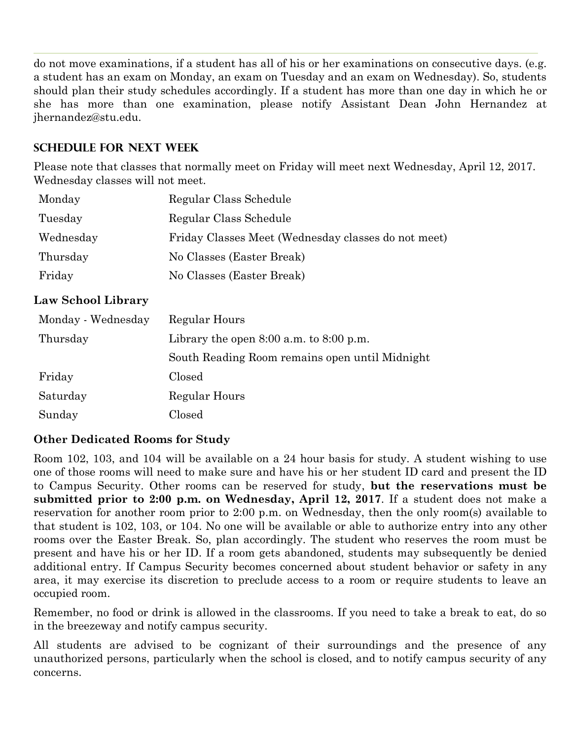do not move examinations, if a student has all of his or her examinations on consecutive days. (e.g. a student has an exam on Monday, an exam on Tuesday and an exam on Wednesday). So, students should plan their study schedules accordingly. If a student has more than one day in which he or she has more than one examination, please notify Assistant Dean John Hernandez at jhernandez@stu.edu.

## **Schedule for next Week**

Please note that classes that normally meet on Friday will meet next Wednesday, April 12, 2017. Wednesday classes will not meet.

| Monday    | Regular Class Schedule                              |
|-----------|-----------------------------------------------------|
| Tuesday   | Regular Class Schedule                              |
| Wednesday | Friday Classes Meet (Wednesday classes do not meet) |
| Thursday  | No Classes (Easter Break)                           |
| Friday    | No Classes (Easter Break)                           |

### **Law School Library**

| Monday - Wednesday | Regular Hours                                  |  |
|--------------------|------------------------------------------------|--|
| Thursday           | Library the open $8:00$ a.m. to $8:00$ p.m.    |  |
|                    | South Reading Room remains open until Midnight |  |
| Friday             | Closed                                         |  |
| Saturday           | Regular Hours                                  |  |
| Sunday             | $\rm Closed$                                   |  |

## **Other Dedicated Rooms for Study**

Room 102, 103, and 104 will be available on a 24 hour basis for study. A student wishing to use one of those rooms will need to make sure and have his or her student ID card and present the ID to Campus Security. Other rooms can be reserved for study, **but the reservations must be submitted prior to 2:00 p.m. on Wednesday, April 12, 2017**. If a student does not make a reservation for another room prior to 2:00 p.m. on Wednesday, then the only room(s) available to that student is 102, 103, or 104. No one will be available or able to authorize entry into any other rooms over the Easter Break. So, plan accordingly. The student who reserves the room must be present and have his or her ID. If a room gets abandoned, students may subsequently be denied additional entry. If Campus Security becomes concerned about student behavior or safety in any area, it may exercise its discretion to preclude access to a room or require students to leave an occupied room.

Remember, no food or drink is allowed in the classrooms. If you need to take a break to eat, do so in the breezeway and notify campus security.

All students are advised to be cognizant of their surroundings and the presence of any unauthorized persons, particularly when the school is closed, and to notify campus security of any concerns.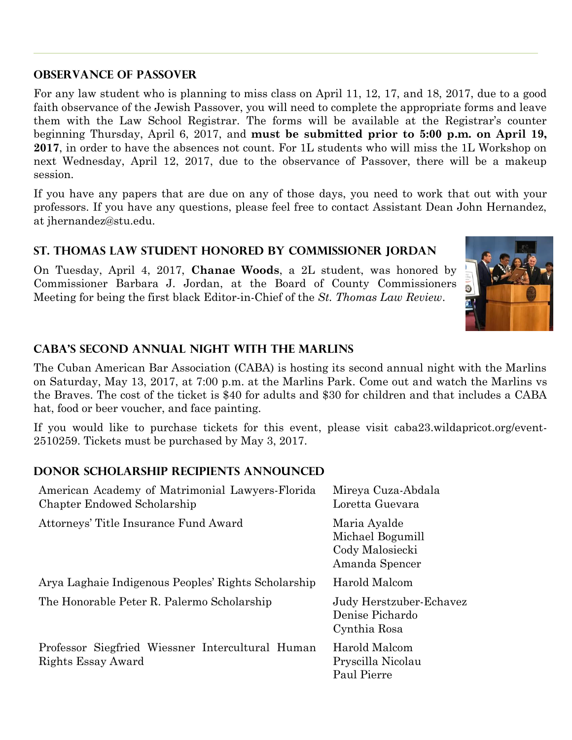#### **Observance of Passover**

For any law student who is planning to miss class on April 11, 12, 17, and 18, 2017, due to a good faith observance of the Jewish Passover, you will need to complete the appropriate forms and leave them with the Law School Registrar. The forms will be available at the Registrar's counter beginning Thursday, April 6, 2017, and **must be submitted prior to 5:00 p.m. on April 19, 2017**, in order to have the absences not count. For 1L students who will miss the 1L Workshop on next Wednesday, April 12, 2017, due to the observance of Passover, there will be a makeup session.

If you have any papers that are due on any of those days, you need to work that out with your professors. If you have any questions, please feel free to contact Assistant Dean John Hernandez, at jhernandez@stu.edu.

# **St. Thomas Law Student Honored by Commissioner Jordan**

On Tuesday, April 4, 2017, **Chanae Woods**, a 2L student, was honored by Commissioner Barbara J. Jordan, at the Board of County Commissioners Meeting for being the first black Editor-in-Chief of the *St. Thomas Law Review*.



## **CABA's Second Annual Night with the Marlins**

The Cuban American Bar Association (CABA) is hosting its second annual night with the Marlins on Saturday, May 13, 2017, at 7:00 p.m. at the Marlins Park. Come out and watch the Marlins vs the Braves. The cost of the ticket is \$40 for adults and \$30 for children and that includes a CABA hat, food or beer voucher, and face painting.

If you would like to purchase tickets for this event, please visit caba23.wildapricot.org/event-2510259. Tickets must be purchased by May 3, 2017.

### **Donor Scholarship Recipients Announced**

| American Academy of Matrimonial Lawyers-Florida<br>Chapter Endowed Scholarship | Mireya Cuza-Abdala<br>Loretta Guevara                                 |
|--------------------------------------------------------------------------------|-----------------------------------------------------------------------|
| Attorneys' Title Insurance Fund Award                                          | Maria Ayalde<br>Michael Bogumill<br>Cody Malosiecki<br>Amanda Spencer |
| Arya Laghaie Indigenous Peoples' Rights Scholarship                            | Harold Malcom                                                         |
| The Honorable Peter R. Palermo Scholarship                                     | Judy Herstzuber-Echavez<br>Denise Pichardo<br>Cynthia Rosa            |
| Professor Siegfried Wiessner Intercultural Human<br>Rights Essay Award         | Harold Malcom<br>Pryscilla Nicolau<br>Paul Pierre                     |